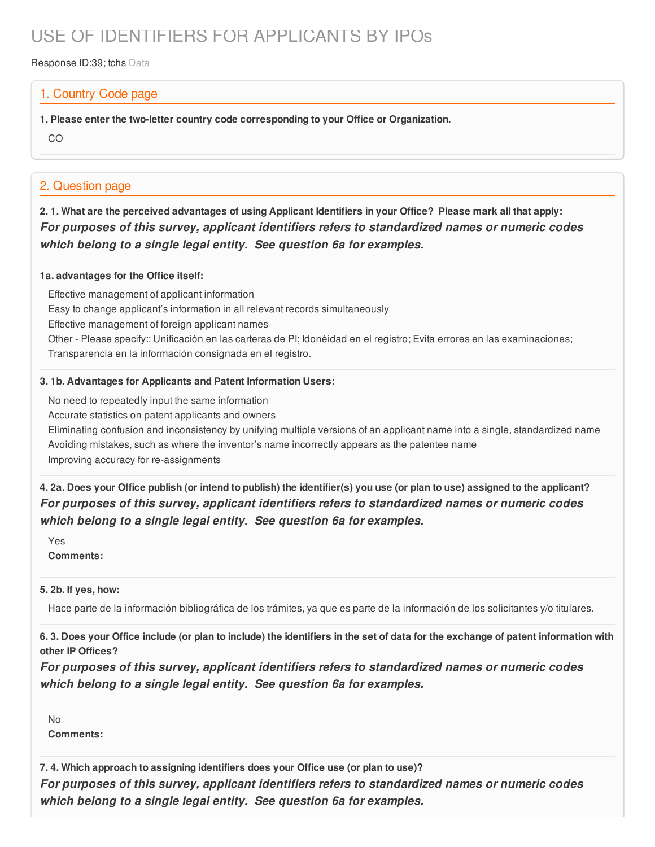# USE OF IDENTIFIERS FOR APPLICANTS BY IPOs

Response ID:39; tchs Data

### 1. Country Code page

**1. Please enter the two-letter country code corresponding to your Office or Organization.**

CO

## 2. Question page

2.1. What are the perceived advantages of using Applicant Identifiers in your Office? Please mark all that apply: *For purposes of this survey, applicant identifiers refers to standardized names or numeric codes which belong to a single legal entity. See question 6a for examples.*

#### **1a. advantages for the Office itself:**

Effective management of applicant information Easy to change applicant's information in all relevant records simultaneously Effective management of foreign applicant names Other - Please specify:: Unificación en las carteras de PI; Idonéidad en el registro; Evita errores en las examinaciones; Transparencia en la información consignada en el registro.

#### **3. 1b. Advantages for Applicants and Patent Information Users:**

No need to repeatedly input the same information

Accurate statistics on patent applicants and owners

Eliminating confusion and inconsistency by unifying multiple versions of an applicant name into a single, standardized name Avoiding mistakes, such as where the inventor's name incorrectly appears as the patentee name Improving accuracy for re-assignments

4. 2a. Does your Office publish (or intend to publish) the identifier(s) you use (or plan to use) assigned to the applicant? *For purposes of this survey, applicant identifiers refers to standardized names or numeric codes which belong to a single legal entity. See question 6a for examples.*

Yes **Comments:**

#### **5. 2b. If yes, how:**

Hace parte de la información bibliográfica de los trámites, ya que es parte de la información de los solicitantes y/o titulares.

6.3. Does your Office include (or plan to include) the identifiers in the set of data for the exchange of patent information with **other IP Offices?**

*For purposes of this survey, applicant identifiers refers to standardized names or numeric codes which belong to a single legal entity. See question 6a for examples.*

No **Comments:**

**7. 4. Which approach to assigning identifiers does your Office use (or plan to use)?**

*For purposes of this survey, applicant identifiers refers to standardized names or numeric codes which belong to a single legal entity. See question 6a for examples.*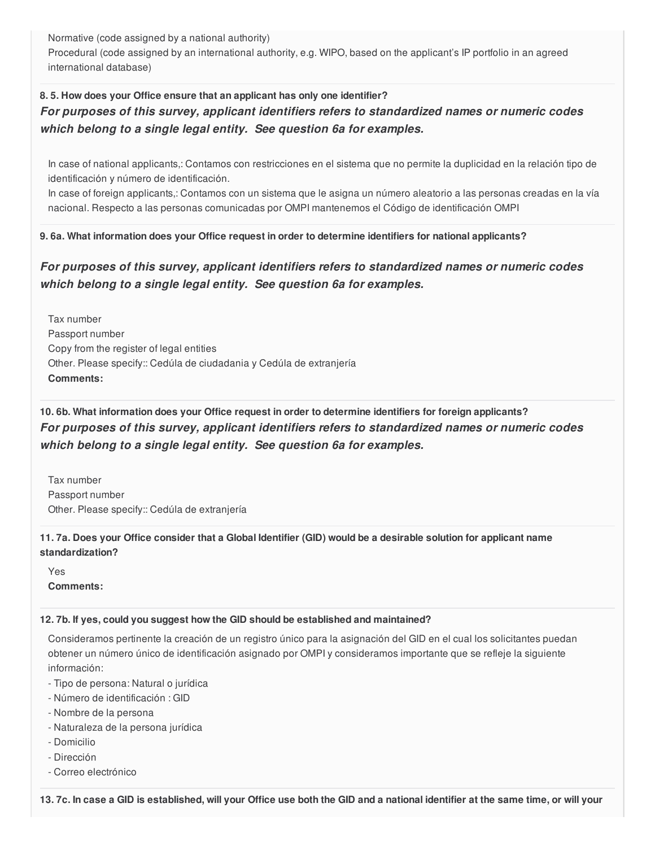Normative (code assigned by a national authority)

Procedural (code assigned by an international authority, e.g. WIPO, based on the applicant's IP portfolio in an agreed international database)

## **8. 5. How does your Office ensure that an applicant has only one identifier?** *For purposes of this survey, applicant identifiers refers to standardized names or numeric codes which belong to a single legal entity. See question 6a for examples.*

In case of national applicants,: Contamos con restricciones en el sistema que no permite la duplicidad en la relación tipo de identificación y número de identificación.

In case of foreign applicants,: Contamos con un sistema que le asigna un número aleatorio a las personas creadas en la vía nacional. Respecto a las personas comunicadas por OMPI mantenemos el Código de identificación OMPI

#### **9. 6a. What information does your Office request in order to determine identifiers for national applicants?**

## *For purposes of this survey, applicant identifiers refers to standardized names or numeric codes which belong to a single legal entity. See question 6a for examples.*

Tax number Passport number Copy from the register of legal entities Other. Please specify:: Cedúla de ciudadania y Cedúla de extranjería **Comments:**

## **10. 6b. What information does your Office request in order to determine identifiers for foreign applicants?** *For purposes of this survey, applicant identifiers refers to standardized names or numeric codes which belong to a single legal entity. See question 6a for examples.*

Tax number Passport number Other. Please specify:: Cedúla de extranjería

#### 11.7a. Does your Office consider that a Global Identifier (GID) would be a desirable solution for applicant name **standardization?**

Yes **Comments:**

#### **12. 7b. If yes, could you suggest how the GID should be established and maintained?**

Consideramos pertinente la creación de un registro único para la asignación del GID en el cual los solicitantes puedan obtener un número único de identificación asignado por OMPI y consideramos importante que se refleje la siguiente información:

- Tipo de persona: Natural o jurídica
- Número de identificación : GID
- Nombre de la persona
- Naturaleza de la persona jurídica
- Domicilio
- Dirección
- Correo electrónico

13.7c. In case a GID is established, will your Office use both the GID and a national identifier at the same time, or will your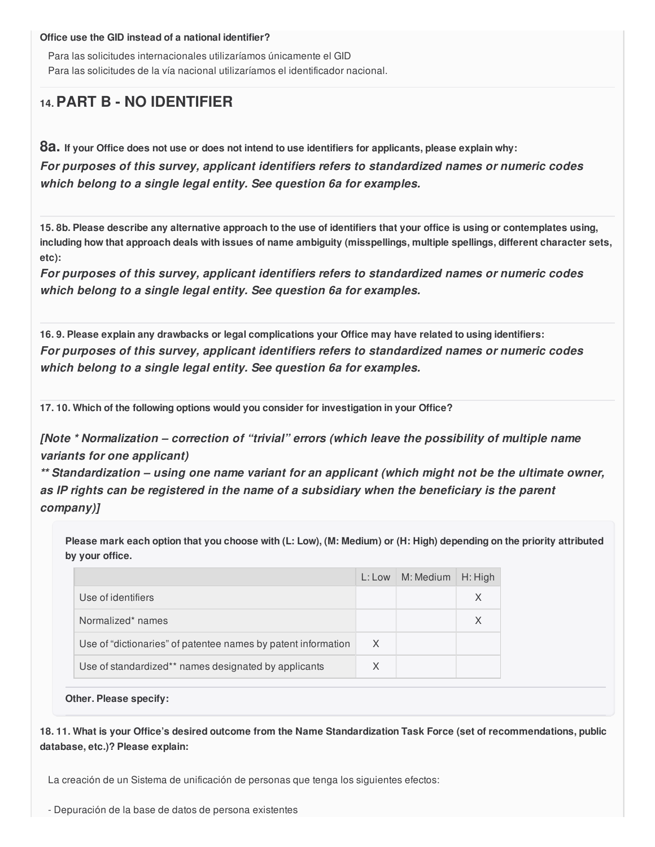**Office use the GID instead of a national identifier?**

Para las solicitudes internacionales utilizaríamos únicamente el GID Para las solicitudes de la vía nacional utilizaríamos el identificador nacional.

## **14.PART B - NO IDENTIFIER**

8a. If your Office does not use or does not intend to use identifiers for applicants, please explain why:

*For purposes of this survey, applicant identifiers refers to standardized names or numeric codes which belong to a single legal entity. See question 6a for examples.*

15.8b. Please describe any alternative approach to the use of identifiers that your office is using or contemplates using, including how that approach deals with issues of name ambiguity (misspellings, multiple spellings, different character sets, **etc):**

*For purposes of this survey, applicant identifiers refers to standardized names or numeric codes which belong to a single legal entity. See question 6a for examples.*

16.9. Please explain any drawbacks or legal complications your Office may have related to using identifiers: *For purposes of this survey, applicant identifiers refers to standardized names or numeric codes which belong to a single legal entity. See question 6a for examples.*

**17. 10. Which of the following options would you consider for investigation in your Office?**

*[Note \* Normalization – correction of "trivial" errors (which leave the possibility of multiple name variants for one applicant)*

*\*\* Standardization – using one name variant for an applicant (which might not be the ultimate owner, as IP rights can be registered in the name of a subsidiary when the beneficiary is the parent company)]*

Please mark each option that you choose with (L: Low), (M: Medium) or (H: High) depending on the priority attributed **by your office.**

|                                                               | L: Low | M: Medium | $H:$ High |
|---------------------------------------------------------------|--------|-----------|-----------|
| Use of identifiers                                            |        |           | X         |
| Normalized* names                                             |        |           |           |
| Use of "dictionaries" of patentee names by patent information | X      |           |           |
| Use of standardized** names designated by applicants          | X      |           |           |

**Other. Please specify:**

18.11. What is your Office's desired outcome from the Name Standardization Task Force (set of recommendations, public **database, etc.)? Please explain:**

La creación de un Sistema de unificación de personas que tenga los siguientes efectos:

- Depuración de la base de datos de persona existentes